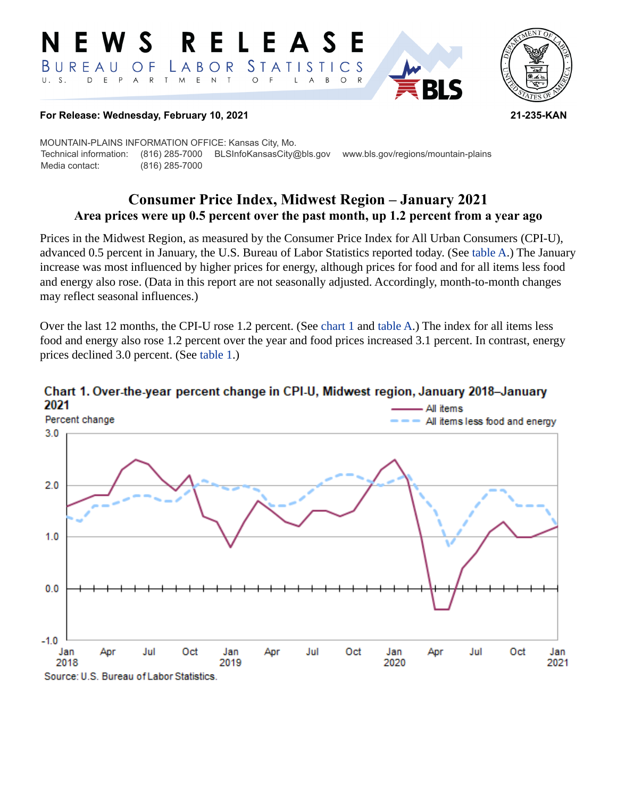#### RELEASE W S E. *STATISTICS* BUREAU  $\overline{O}$  F LABOR D E P  $\mathsf{R}$ T M  $E$  N  $\top$  $\circ$  $U. S.$  $A$  $\mathsf{L}$  $\overline{\mathsf{A}}$  $B$  $\circ$  $\mathsf{R}$



#### **For Release: Wednesday, February 10, 2021 21-235-KAN**

MOUNTAIN-PLAINS INFORMATION OFFICE: Kansas City, Mo. Technical information: (816) 285-7000 BLSInfoKansasCity@bls.gov www.bls.gov/regions/mountain-plains Media contact: (816) 285-7000

# **Consumer Price Index, Midwest Region – January 2021 Area prices were up 0.5 percent over the past month, up 1.2 percent from a year ago**

Prices in the Midwest Region, as measured by the Consumer Price Index for All Urban Consumers (CPI-U), advanced 0.5 percent in January, the U.S. Bureau of Labor Statistics reported today. (See [table A.](#page-1-0)) The January increase was most influenced by higher prices for energy, although prices for food and for all items less food and energy also rose. (Data in this report are not seasonally adjusted. Accordingly, month-to-month changes may reflect seasonal influences.)

Over the last 12 months, the CPI-U rose 1.2 percent. (See [chart 1](#page-0-0) and [table A](#page-1-0).) The index for all items less food and energy also rose 1.2 percent over the year and food prices increased 3.1 percent. In contrast, energy prices declined 3.0 percent. (See [table 1.](#page-4-0))



# <span id="page-0-0"></span>Chart 1. Over-the-year percent change in CPI-U, Midwest region, January 2018-January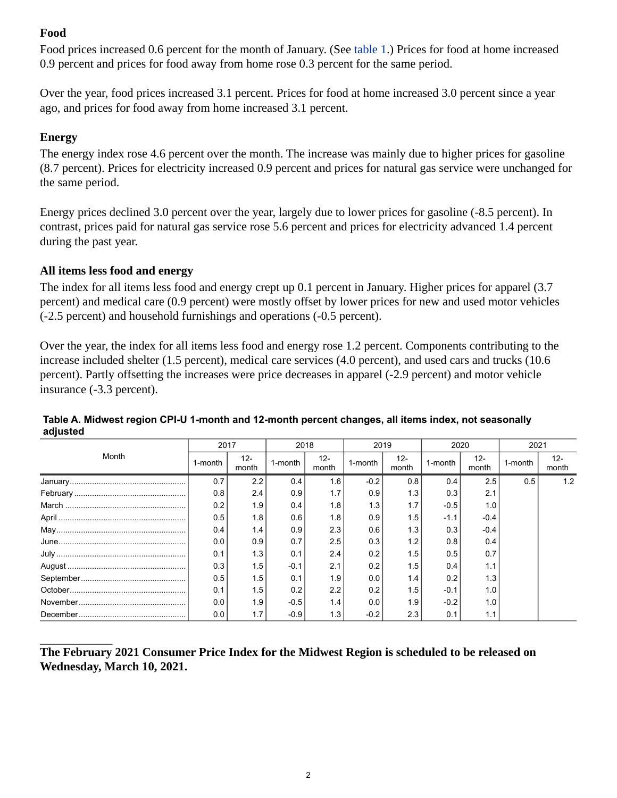# **Food**

Food prices increased 0.6 percent for the month of January. (See [table 1.](#page-4-0)) Prices for food at home increased 0.9 percent and prices for food away from home rose 0.3 percent for the same period.

Over the year, food prices increased 3.1 percent. Prices for food at home increased 3.0 percent since a year ago, and prices for food away from home increased 3.1 percent.

# **Energy**

The energy index rose 4.6 percent over the month. The increase was mainly due to higher prices for gasoline (8.7 percent). Prices for electricity increased 0.9 percent and prices for natural gas service were unchanged for the same period.

Energy prices declined 3.0 percent over the year, largely due to lower prices for gasoline (-8.5 percent). In contrast, prices paid for natural gas service rose 5.6 percent and prices for electricity advanced 1.4 percent during the past year.

## **All items less food and energy**

The index for all items less food and energy crept up 0.1 percent in January. Higher prices for apparel (3.7 percent) and medical care (0.9 percent) were mostly offset by lower prices for new and used motor vehicles (-2.5 percent) and household furnishings and operations (-0.5 percent).

Over the year, the index for all items less food and energy rose 1.2 percent. Components contributing to the increase included shelter (1.5 percent), medical care services (4.0 percent), and used cars and trucks (10.6 percent). Partly offsetting the increases were price decreases in apparel (-2.9 percent) and motor vehicle insurance (-3.3 percent).

| Month | 2017    |                 | 2018             |                 | 2019    |                 | 2020    |                 | 2021    |                 |
|-------|---------|-----------------|------------------|-----------------|---------|-----------------|---------|-----------------|---------|-----------------|
|       | 1-month | $12 -$<br>month | 1-month          | $12 -$<br>month | 1-month | $12 -$<br>month | 1-month | $12 -$<br>month | 1-month | $12 -$<br>month |
|       | 0.7     | 2.2             | 0.4              | 1.6             | $-0.2$  | 0.8             | 0.4     | 2.5             | 0.5     | 1.2             |
|       | 0.8     | 2.4             | 0.9 <sub>l</sub> | 1.7             | 0.9     | 1.3             | 0.3     | 2.1             |         |                 |
|       | 0.2     | 1.9             | 0.4              | 1.8             | 1.3     | 1.7             | $-0.5$  | 1.0             |         |                 |
|       | 0.5     | 1.8             | 0.6              | 1.8             | 0.9     | 1.5             | $-1.1$  | $-0.4$          |         |                 |
|       | 0.4     | 1.4             | 0.9              | 2.3             | 0.6     | 1.3             | 0.3     | $-0.4$          |         |                 |
|       | 0.0     | 0.9             | 0.7              | 2.5             | 0.3     | 1.2             | 0.8     | 0.4             |         |                 |
|       | 0.1     | 1.3             | 0.1              | 2.4             | 0.2     | 1.5             | 0.5     | 0.7             |         |                 |
|       | 0.3     | 1.5             | $-0.1$           | 2.1             | 0.2     | 1.5             | 0.4     | 1.1             |         |                 |
|       | 0.5     | 1.5             | 0.1              | 1.9             | 0.0     | 1.4             | 0.2     | 1.3             |         |                 |
|       | 0.1     | 1.5             | 0.2              | 2.2             | 0.2     | 1.5             | $-0.1$  | 1.0             |         |                 |
|       | 0.0     | 1.9             | $-0.5$           | 1.4             | 0.0     | 1.9             | $-0.2$  | 1.0             |         |                 |
|       | 0.0     | 1.7             | $-0.9$           | 1.3             | $-0.2$  | 2.3             | 0.1     | 1.1             |         |                 |

#### <span id="page-1-0"></span>**Table A. Midwest region CPI-U 1-month and 12-month percent changes, all items index, not seasonally adjusted**

**The February 2021 Consumer Price Index for the Midwest Region is scheduled to be released on Wednesday, March 10, 2021.**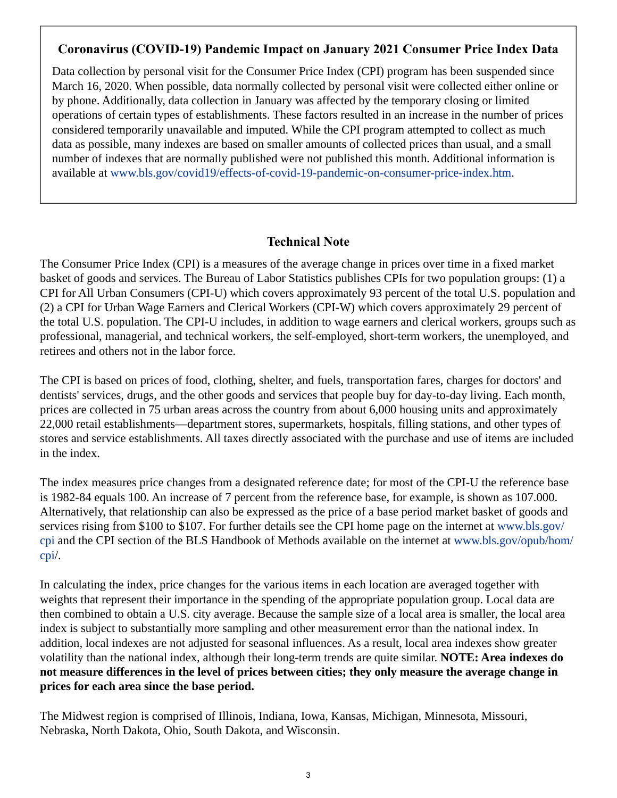## **Coronavirus (COVID-19) Pandemic Impact on January 2021 Consumer Price Index Data**

Data collection by personal visit for the Consumer Price Index (CPI) program has been suspended since March 16, 2020. When possible, data normally collected by personal visit were collected either online or by phone. Additionally, data collection in January was affected by the temporary closing or limited operations of certain types of establishments. These factors resulted in an increase in the number of prices considered temporarily unavailable and imputed. While the CPI program attempted to collect as much data as possible, many indexes are based on smaller amounts of collected prices than usual, and a small number of indexes that are normally published were not published this month. Additional information is available at [www.bls.gov/covid19/effects-of-covid-19-pandemic-on-consumer-price-index.htm.](https://www.bls.gov/covid19/effects-of-covid-19-pandemic-on-consumer-price-index.htm)

## **Technical Note**

The Consumer Price Index (CPI) is a measures of the average change in prices over time in a fixed market basket of goods and services. The Bureau of Labor Statistics publishes CPIs for two population groups: (1) a CPI for All Urban Consumers (CPI-U) which covers approximately 93 percent of the total U.S. population and (2) a CPI for Urban Wage Earners and Clerical Workers (CPI-W) which covers approximately 29 percent of the total U.S. population. The CPI-U includes, in addition to wage earners and clerical workers, groups such as professional, managerial, and technical workers, the self-employed, short-term workers, the unemployed, and retirees and others not in the labor force.

The CPI is based on prices of food, clothing, shelter, and fuels, transportation fares, charges for doctors' and dentists' services, drugs, and the other goods and services that people buy for day-to-day living. Each month, prices are collected in 75 urban areas across the country from about 6,000 housing units and approximately 22,000 retail establishments—department stores, supermarkets, hospitals, filling stations, and other types of stores and service establishments. All taxes directly associated with the purchase and use of items are included in the index.

The index measures price changes from a designated reference date; for most of the CPI-U the reference base is 1982-84 equals 100. An increase of 7 percent from the reference base, for example, is shown as 107.000. Alternatively, that relationship can also be expressed as the price of a base period market basket of goods and services rising from \$100 to \$107. For further details see the CPI home page on the internet at [www.bls.gov/](https://www.bls.gov/cpi) [cpi](https://www.bls.gov/cpi) and the CPI section of the BLS Handbook of Methods available on the internet at [www.bls.gov/opub/hom/](https://www.bls.gov/opub/hom/cpi) [cpi](https://www.bls.gov/opub/hom/cpi)/.

In calculating the index, price changes for the various items in each location are averaged together with weights that represent their importance in the spending of the appropriate population group. Local data are then combined to obtain a U.S. city average. Because the sample size of a local area is smaller, the local area index is subject to substantially more sampling and other measurement error than the national index. In addition, local indexes are not adjusted for seasonal influences. As a result, local area indexes show greater volatility than the national index, although their long-term trends are quite similar. **NOTE: Area indexes do not measure differences in the level of prices between cities; they only measure the average change in prices for each area since the base period.**

The Midwest region is comprised of Illinois, Indiana, Iowa, Kansas, Michigan, Minnesota, Missouri, Nebraska, North Dakota, Ohio, South Dakota, and Wisconsin.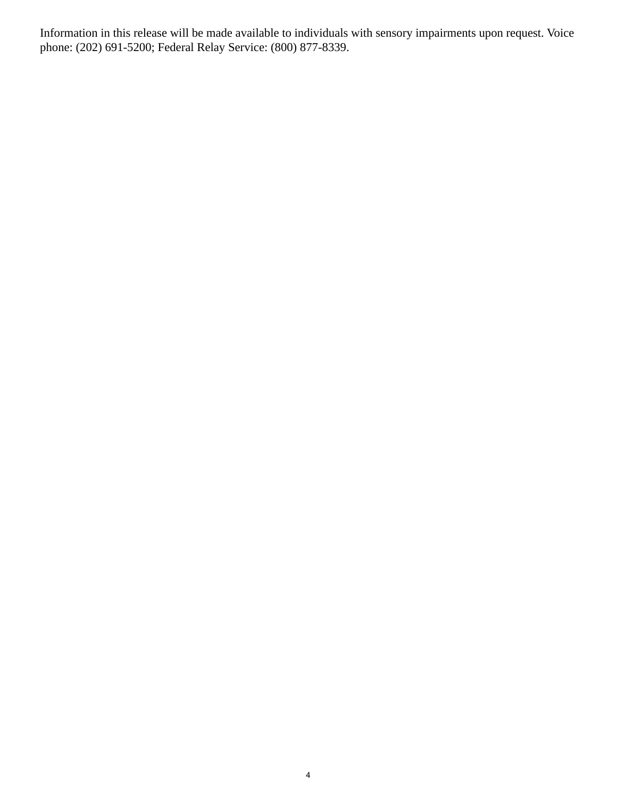Information in this release will be made available to individuals with sensory impairments upon request. Voice phone: (202) 691-5200; Federal Relay Service: (800) 877-8339.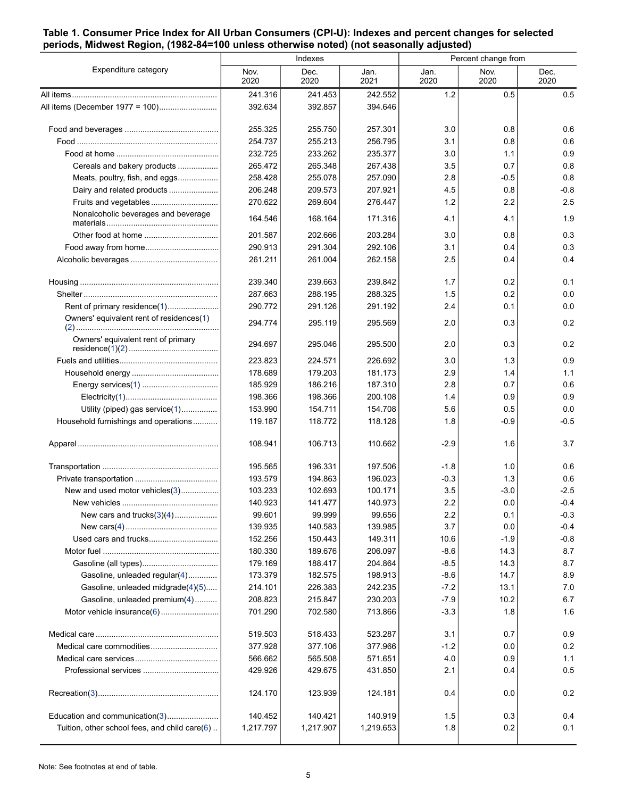#### <span id="page-4-0"></span>**Table 1. Consumer Price Index for All Urban Consumers (CPI-U): Indexes and percent changes for selected periods, Midwest Region, (1982-84=100 unless otherwise noted) (not seasonally adjusted)**

|                                               |              | Indexes      |              | Percent change from |              |              |  |
|-----------------------------------------------|--------------|--------------|--------------|---------------------|--------------|--------------|--|
| Expenditure category                          | Nov.<br>2020 | Dec.<br>2020 | Jan.<br>2021 | Jan.<br>2020        | Nov.<br>2020 | Dec.<br>2020 |  |
|                                               | 241.316      | 241.453      | 242.552      | 1.2                 | 0.5          | 0.5          |  |
| All items (December 1977 = 100)               | 392.634      | 392.857      | 394.646      |                     |              |              |  |
|                                               | 255.325      | 255.750      | 257.301      | 3.0                 | 0.8          | 0.6          |  |
|                                               | 254.737      | 255.213      | 256.795      | 3.1                 | 0.8          | 0.6          |  |
|                                               | 232.725      | 233.262      | 235.377      | 3.0                 | 1.1          | 0.9          |  |
| Cereals and bakery products                   | 265.472      | 265.348      | 267.438      | 3.5                 | 0.7          | 0.8          |  |
| Meats, poultry, fish, and eggs                | 258.428      | 255.078      | 257.090      | 2.8                 | $-0.5$       | 0.8          |  |
| Dairy and related products                    | 206.248      | 209.573      | 207.921      | 4.5                 | 0.8          | $-0.8$       |  |
| Fruits and vegetables                         | 270.622      | 269.604      | 276.447      | 1.2                 | 2.2          | 2.5          |  |
| Nonalcoholic beverages and beverage           | 164.546      | 168.164      | 171.316      | 4.1                 | 4.1          | 1.9          |  |
|                                               | 201.587      | 202.666      | 203.284      | 3.0                 | 0.8          | 0.3          |  |
|                                               | 290.913      | 291.304      | 292.106      | 3.1                 | 0.4          | 0.3          |  |
|                                               | 261.211      | 261.004      | 262.158      | 2.5                 | 0.4          | 0.4          |  |
|                                               | 239.340      | 239.663      | 239.842      | 1.7                 | 0.2          | 0.1          |  |
|                                               | 287.663      | 288.195      | 288.325      | 1.5                 | 0.2          | 0.0          |  |
| Rent of primary residence(1)                  | 290.772      | 291.126      | 291.192      | 2.4                 | 0.1          | 0.0          |  |
| Owners' equivalent rent of residences(1)      | 294.774      | 295.119      | 295.569      | 2.0                 | 0.3          | 0.2          |  |
| Owners' equivalent rent of primary            | 294.697      | 295.046      | 295.500      | 2.0                 | 0.3          | 0.2          |  |
|                                               | 223.823      | 224.571      | 226.692      | 3.0                 | 1.3          | 0.9          |  |
|                                               | 178.689      | 179.203      | 181.173      | 2.9                 | 1.4          | 1.1          |  |
|                                               | 185.929      | 186.216      | 187.310      | 2.8                 | 0.7          | 0.6          |  |
|                                               | 198.366      | 198.366      | 200.108      | 1.4                 | 0.9          | 0.9          |  |
| Utility (piped) gas service(1)                | 153.990      | 154.711      | 154.708      | 5.6                 | 0.5          | 0.0          |  |
| Household furnishings and operations          | 119.187      | 118.772      | 118.128      | 1.8                 | -0.9         | $-0.5$       |  |
|                                               | 108.941      | 106.713      | 110.662      | $-2.9$              | 1.6          | 3.7          |  |
|                                               | 195.565      | 196.331      | 197.506      | $-1.8$              | 1.0          | 0.6          |  |
|                                               | 193.579      | 194.863      | 196.023      | $-0.3$              | 1.3          | 0.6          |  |
| New and used motor vehicles(3)                | 103.233      | 102.693      | 100.171      | 3.5                 | $-3.0$       | $-2.5$       |  |
|                                               | 140.923      | 141.477      | 140.973      | 2.2                 | 0.0          | $-0.4$       |  |
| New cars and trucks $(3)(4)$                  | 99.601       | 99.999       | 99.656       | 2.2                 | 0.1          | $-0.3$       |  |
|                                               | 139.935      | 140.583      | 139.985      | 3.7                 | 0.0          | $-0.4$       |  |
|                                               | 152.256      | 150.443      | 149.311      | 10.6                | $-1.9$       | $-0.8$       |  |
|                                               | 180.330      | 189.676      | 206.097      | $-8.6$              | 14.3         | 8.7          |  |
|                                               | 179.169      | 188.417      | 204.864      | $-8.5$              | 14.3         | 8.7          |  |
| Gasoline, unleaded regular(4)                 | 173.379      | 182.575      | 198.913      | $-8.6$              | 14.7         | 8.9          |  |
| Gasoline, unleaded midgrade(4)(5)             | 214.101      | 226.383      | 242.235      | $-7.2$              | 13.1         | 7.0          |  |
| Gasoline, unleaded premium(4)                 | 208.823      | 215.847      | 230.203      | $-7.9$              | 10.2         | 6.7          |  |
| Motor vehicle insurance(6)                    | 701.290      | 702.580      | 713.866      | $-3.3$              | 1.8          | 1.6          |  |
|                                               | 519.503      | 518.433      | 523.287      | 3.1                 | 0.7          | 0.9          |  |
|                                               | 377.928      | 377.106      | 377.966      | $-1.2$              | 0.0          | 0.2          |  |
|                                               | 566.662      | 565.508      | 571.651      | 4.0                 | 0.9          | 1.1          |  |
|                                               | 429.926      | 429.675      | 431.850      | 2.1                 | 0.4          | 0.5          |  |
|                                               | 124.170      | 123.939      | 124.181      | 0.4                 | 0.0          | 0.2          |  |
| Education and communication(3)                | 140.452      | 140.421      | 140.919      | 1.5                 | 0.3          | 0.4          |  |
| Tuition, other school fees, and child care(6) | 1,217.797    | 1,217.907    | 1,219.653    | 1.8                 | 0.2          | 0.1          |  |